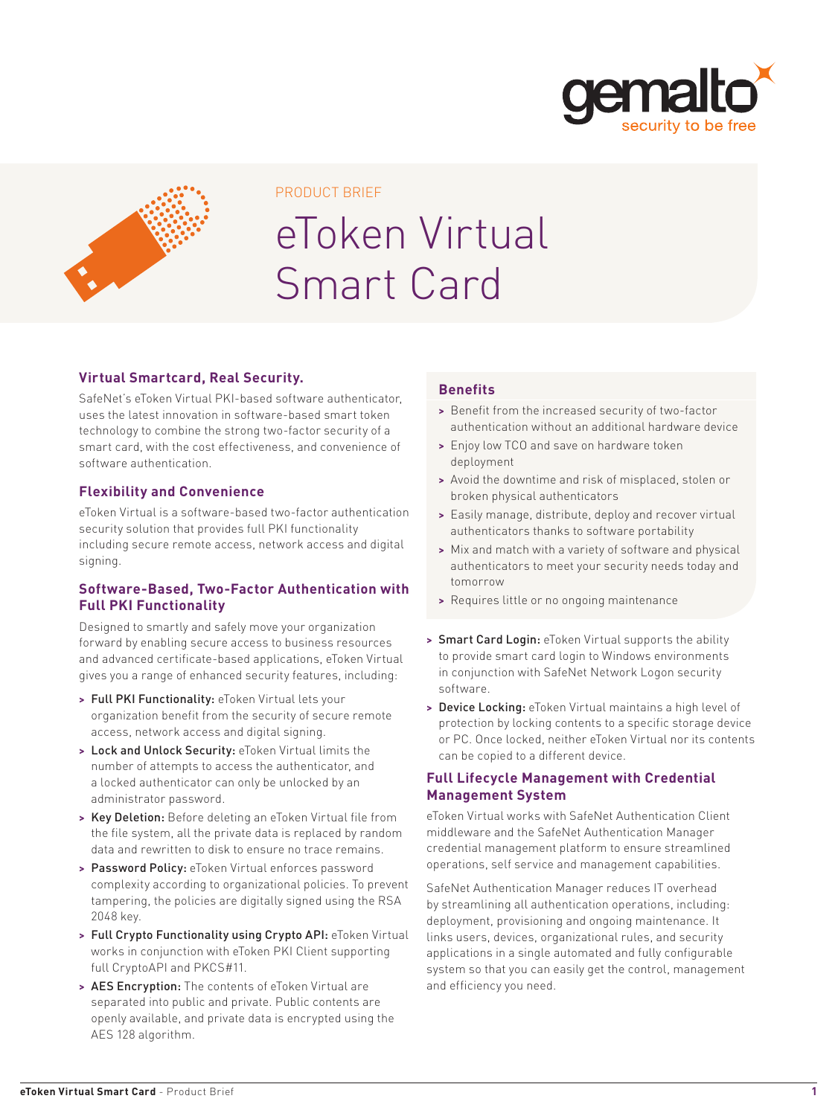



#### PRODUCT BRIEF

# eToken Virtual Smart Card

### **Virtual Smartcard, Real Security.**

SafeNet's eToken Virtual PKI-based software authenticator, uses the latest innovation in software-based smart token technology to combine the strong two-factor security of a smart card, with the cost effectiveness, and convenience of software authentication.

### **Flexibility and Convenience**

eToken Virtual is a software-based two-factor authentication security solution that provides full PKI functionality including secure remote access, network access and digital signing.

### **Software-Based, Two-Factor Authentication with Full PKI Functionality**

Designed to smartly and safely move your organization forward by enabling secure access to business resources and advanced certificate-based applications, eToken Virtual gives you a range of enhanced security features, including:

- **>** Full PKI Functionality: eToken Virtual lets your organization benefit from the security of secure remote access, network access and digital signing.
- **>** Lock and Unlock Security: eToken Virtual limits the number of attempts to access the authenticator, and a locked authenticator can only be unlocked by an administrator password.
- **>** Key Deletion: Before deleting an eToken Virtual file from the file system, all the private data is replaced by random data and rewritten to disk to ensure no trace remains.
- **>** Password Policy: eToken Virtual enforces password complexity according to organizational policies. To prevent tampering, the policies are digitally signed using the RSA 2048 key.
- **>** Full Crypto Functionality using Crypto API: eToken Virtual works in conjunction with eToken PKI Client supporting full CryptoAPI and PKCS#11.
- **>** AES Encryption: The contents of eToken Virtual are separated into public and private. Public contents are openly available, and private data is encrypted using the AES 128 algorithm.

### **Benefits**

- **>** Benefit from the increased security of two-factor authentication without an additional hardware device
- **>** Enjoy low TCO and save on hardware token deployment
- **>** Avoid the downtime and risk of misplaced, stolen or broken physical authenticators
- **>** Easily manage, distribute, deploy and recover virtual authenticators thanks to software portability
- **>** Mix and match with a variety of software and physical authenticators to meet your security needs today and tomorrow
- **>** Requires little or no ongoing maintenance
- **>** Smart Card Login: eToken Virtual supports the ability to provide smart card login to Windows environments in conjunction with SafeNet Network Logon security software.
- **>** Device Locking: eToken Virtual maintains a high level of protection by locking contents to a specific storage device or PC. Once locked, neither eToken Virtual nor its contents can be copied to a different device.

### **Full Lifecycle Management with Credential Management System**

eToken Virtual works with SafeNet Authentication Client middleware and the SafeNet Authentication Manager credential management platform to ensure streamlined operations, self service and management capabilities.

SafeNet Authentication Manager reduces IT overhead by streamlining all authentication operations, including: deployment, provisioning and ongoing maintenance. It links users, devices, organizational rules, and security applications in a single automated and fully configurable system so that you can easily get the control, management and efficiency you need.